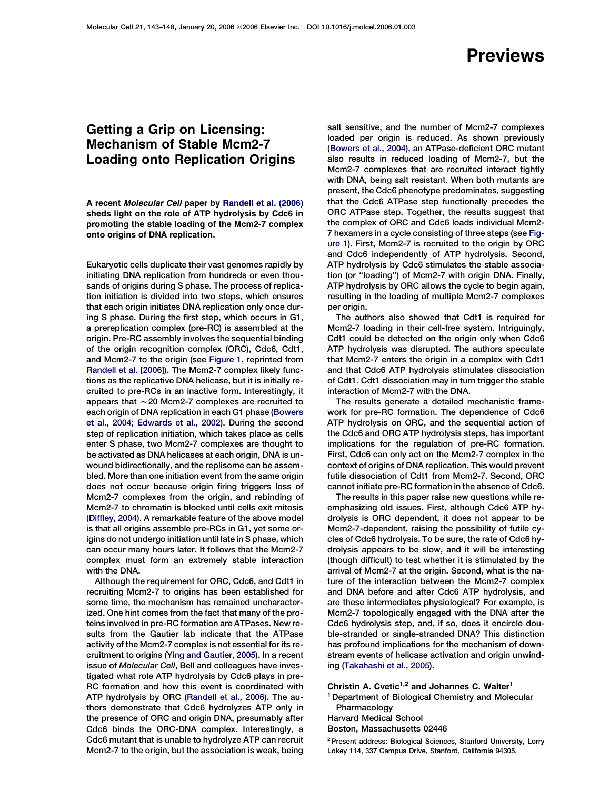## **Previews**

## Getting a Grip on Licensing: Mechanism of Stable Mcm2-7 Loading onto Replication Origins

A recent Molecular Cell paper by [Randell et al. \(2006\)](#page-1-0) sheds light on the role of ATP hydrolysis by Cdc6 in promoting the stable loading of the Mcm2-7 complex onto origins of DNA replication.

Eukaryotic cells duplicate their vast genomes rapidly by initiating DNA replication from hundreds or even thousands of origins during S phase. The process of replication initiation is divided into two steps, which ensures that each origin initiates DNA replication only once during S phase. During the first step, which occurs in G1, a prereplication complex (pre-RC) is assembled at the origin. Pre-RC assembly involves the sequential binding of the origin recognition complex (ORC), Cdc6, Cdt1, and Mcm2-7 to the origin (see [Figure 1](#page-1-0), reprinted from [Randell et al. \[2006\]\)](#page-1-0). The Mcm2-7 complex likely functions as the replicative DNA helicase, but it is initially recruited to pre-RCs in an inactive form. Interestingly, it appears that *w*20 Mcm2-7 complexes are recruited to each origin of DNA replication in each G1 phase [\(Bowers](#page-1-0) [et al., 2004; Edwards et al., 2002\)](#page-1-0). During the second step of replication initiation, which takes place as cells enter S phase, two Mcm2-7 complexes are thought to be activated as DNA helicases at each origin, DNA is unwound bidirectionally, and the replisome can be assembled. More than one initiation event from the same origin does not occur because origin firing triggers loss of Mcm2-7 complexes from the origin, and rebinding of Mcm2-7 to chromatin is blocked until cells exit mitosis [\(Diffley, 2004\)](#page-1-0). A remarkable feature of the above model is that all origins assemble pre-RCs in G1, yet some origins do not undergo initiation until late in S phase, which can occur many hours later. It follows that the Mcm2-7 complex must form an extremely stable interaction with the DNA.

Although the requirement for ORC, Cdc6, and Cdt1 in recruiting Mcm2-7 to origins has been established for some time, the mechanism has remained uncharacterized. One hint comes from the fact that many of the proteins involved in pre-RC formation are ATPases. New results from the Gautier lab indicate that the ATPase activity of the Mcm2-7 complex is not essential for its recruitment to origins ([Ying and Gautier, 2005](#page-1-0)). In a recent issue of Molecular Cell, Bell and colleagues have investigated what role ATP hydrolysis by Cdc6 plays in pre-RC formation and how this event is coordinated with ATP hydrolysis by ORC [\(Randell et al., 2006](#page-1-0)). The authors demonstrate that Cdc6 hydrolyzes ATP only in the presence of ORC and origin DNA, presumably after Cdc6 binds the ORC-DNA complex. Interestingly, a Cdc6 mutant that is unable to hydrolyze ATP can recruit Mcm2-7 to the origin, but the association is weak, being salt sensitive, and the number of Mcm2-7 complexes loaded per origin is reduced. As shown previously [\(Bowers et al., 2004](#page-1-0)), an ATPase-deficient ORC mutant also results in reduced loading of Mcm2-7, but the Mcm2-7 complexes that are recruited interact tightly with DNA, being salt resistant. When both mutants are present, the Cdc6 phenotype predominates, suggesting that the Cdc6 ATPase step functionally precedes the ORC ATPase step. Together, the results suggest that the complex of ORC and Cdc6 loads individual Mcm2- 7 hexamers in a cycle consisting of three steps (see [Fig](#page-1-0)[ure 1\)](#page-1-0). First, Mcm2-7 is recruited to the origin by ORC and Cdc6 independently of ATP hydrolysis. Second, ATP hydrolysis by Cdc6 stimulates the stable association (or ''loading'') of Mcm2-7 with origin DNA. Finally, ATP hydrolysis by ORC allows the cycle to begin again, resulting in the loading of multiple Mcm2-7 complexes per origin.

The authors also showed that Cdt1 is required for Mcm2-7 loading in their cell-free system. Intriguingly, Cdt1 could be detected on the origin only when Cdc6 ATP hydrolysis was disrupted. The authors speculate that Mcm2-7 enters the origin in a complex with Cdt1 and that Cdc6 ATP hydrolysis stimulates dissociation of Cdt1. Cdt1 dissociation may in turn trigger the stable interaction of Mcm2-7 with the DNA.

The results generate a detailed mechanistic framework for pre-RC formation. The dependence of Cdc6 ATP hydrolysis on ORC, and the sequential action of the Cdc6 and ORC ATP hydrolysis steps, has important implications for the regulation of pre-RC formation. First, Cdc6 can only act on the Mcm2-7 complex in the context of origins of DNA replication. This would prevent futile dissociation of Cdt1 from Mcm2-7. Second, ORC cannot initiate pre-RC formation in the absence of Cdc6.

The results in this paper raise new questions while reemphasizing old issues. First, although Cdc6 ATP hydrolysis is ORC dependent, it does not appear to be Mcm2-7-dependent, raising the possibility of futile cycles of Cdc6 hydrolysis. To be sure, the rate of Cdc6 hydrolysis appears to be slow, and it will be interesting (though difficult) to test whether it is stimulated by the arrival of Mcm2-7 at the origin. Second, what is the nature of the interaction between the Mcm2-7 complex and DNA before and after Cdc6 ATP hydrolysis, and are these intermediates physiological? For example, is Mcm2-7 topologically engaged with the DNA after the Cdc6 hydrolysis step, and, if so, does it encircle double-stranded or single-stranded DNA? This distinction has profound implications for the mechanism of downstream events of helicase activation and origin unwinding [\(Takahashi et al., 2005](#page-1-0)).

Christin A. Cvetic<sup>1,2</sup> and Johannes C. Walter<sup>1</sup>

<sup>1</sup> Department of Biological Chemistry and Molecular Pharmacology

Harvard Medical School Boston, Massachusetts 02446

2Present address: Biological Sciences, Stanford University, Lorry Lokey 114, 337 Campus Drive, Stanford, California 94305.